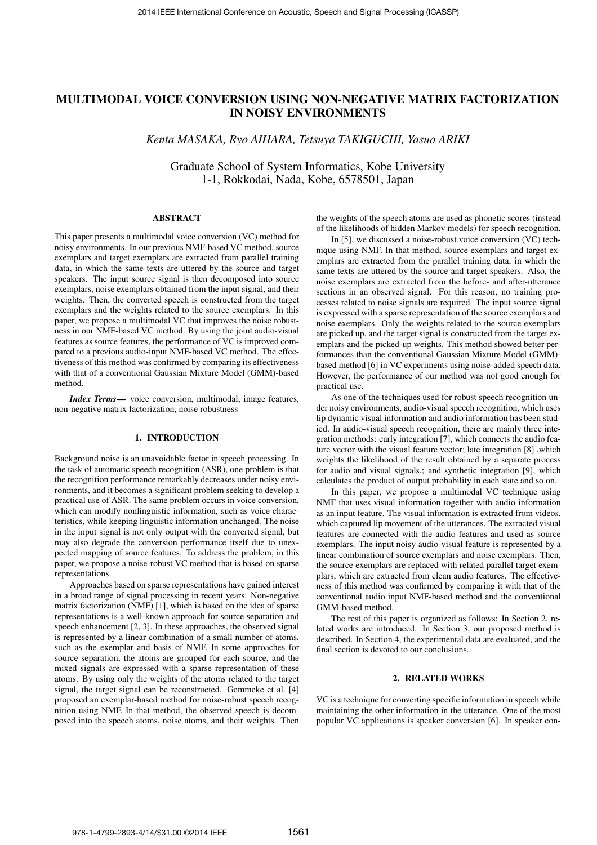# MULTIMODAL VOICE CONVERSION USING NON-NEGATIVE MATRIX FACTORIZATION IN NOISY ENVIRONMENTS

*Kenta MASAKA, Ryo AIHARA, Tetsuya TAKIGUCHI, Yasuo ARIKI*

Graduate School of System Informatics, Kobe University 1-1, Rokkodai, Nada, Kobe, 6578501, Japan

# ABSTRACT

This paper presents a multimodal voice conversion (VC) method for noisy environments. In our previous NMF-based VC method, source exemplars and target exemplars are extracted from parallel training data, in which the same texts are uttered by the source and target speakers. The input source signal is then decomposed into source exemplars, noise exemplars obtained from the input signal, and their weights. Then, the converted speech is constructed from the target exemplars and the weights related to the source exemplars. In this paper, we propose a multimodal VC that improves the noise robustness in our NMF-based VC method. By using the joint audio-visual features as source features, the performance of VC is improved compared to a previous audio-input NMF-based VC method. The effectiveness of this method was confirmed by comparing its effectiveness with that of a conventional Gaussian Mixture Model (GMM)-based method.

*Index Terms*— voice conversion, multimodal, image features, non-negative matrix factorization, noise robustness

# 1. INTRODUCTION

Background noise is an unavoidable factor in speech processing. In the task of automatic speech recognition (ASR), one problem is that the recognition performance remarkably decreases under noisy environments, and it becomes a significant problem seeking to develop a practical use of ASR. The same problem occurs in voice conversion, which can modify nonlinguistic information, such as voice characteristics, while keeping linguistic information unchanged. The noise in the input signal is not only output with the converted signal, but may also degrade the conversion performance itself due to unexpected mapping of source features. To address the problem, in this paper, we propose a noise-robust VC method that is based on sparse representations.

Approaches based on sparse representations have gained interest in a broad range of signal processing in recent years. Non-negative matrix factorization (NMF) [1], which is based on the idea of sparse representations is a well-known approach for source separation and speech enhancement [2, 3]. In these approaches, the observed signal is represented by a linear combination of a small number of atoms, such as the exemplar and basis of NMF. In some approaches for source separation, the atoms are grouped for each source, and the mixed signals are expressed with a sparse representation of these atoms. By using only the weights of the atoms related to the target signal, the target signal can be reconstructed. Gemmeke et al. [4] proposed an exemplar-based method for noise-robust speech recognition using NMF. In that method, the observed speech is decomposed into the speech atoms, noise atoms, and their weights. Then the weights of the speech atoms are used as phonetic scores (instead of the likelihoods of hidden Markov models) for speech recognition.

In [5], we discussed a noise-robust voice conversion (VC) technique using NMF. In that method, source exemplars and target exemplars are extracted from the parallel training data, in which the same texts are uttered by the source and target speakers. Also, the noise exemplars are extracted from the before- and after-utterance sections in an observed signal. For this reason, no training processes related to noise signals are required. The input source signal is expressed with a sparse representation of the source exemplars and noise exemplars. Only the weights related to the source exemplars are picked up, and the target signal is constructed from the target exemplars and the picked-up weights. This method showed better performances than the conventional Gaussian Mixture Model (GMM) based method [6] in VC experiments using noise-added speech data. However, the performance of our method was not good enough for practical use.

As one of the techniques used for robust speech recognition under noisy environments, audio-visual speech recognition, which uses lip dynamic visual information and audio information has been studied. In audio-visual speech recognition, there are mainly three integration methods: early integration [7], which connects the audio feature vector with the visual feature vector; late integration [8] ,which weights the likelihood of the result obtained by a separate process for audio and visual signals,; and synthetic integration [9], which calculates the product of output probability in each state and so on.

In this paper, we propose a multimodal VC technique using NMF that uses visual information together with audio information as an input feature. The visual information is extracted from videos, which captured lip movement of the utterances. The extracted visual features are connected with the audio features and used as source exemplars. The input noisy audio-visual feature is represented by a linear combination of source exemplars and noise exemplars. Then, the source exemplars are replaced with related parallel target exemplars, which are extracted from clean audio features. The effectiveness of this method was confirmed by comparing it with that of the conventional audio input NMF-based method and the conventional GMM-based method.

The rest of this paper is organized as follows: In Section 2, related works are introduced. In Section 3, our proposed method is described. In Section 4, the experimental data are evaluated, and the final section is devoted to our conclusions.

### 2. RELATED WORKS

VC is a technique for converting specific information in speech while maintaining the other information in the utterance. One of the most popular VC applications is speaker conversion [6]. In speaker con-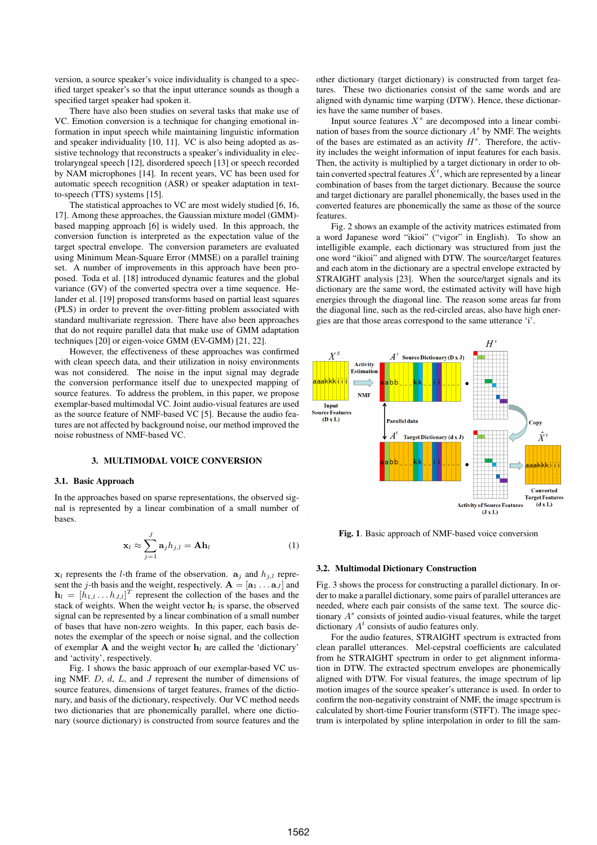version, a source speaker's voice individuality is changed to a specified target speaker's so that the input utterance sounds as though a specified target speaker had spoken it.

There have also been studies on several tasks that make use of VC. Emotion conversion is a technique for changing emotional information in input speech while maintaining linguistic information and speaker individuality [10, 11]. VC is also being adopted as assistive technology that reconstructs a speaker's individuality in electrolaryngeal speech [12], disordered speech [13] or speech recorded by NAM microphones [14]. In recent years, VC has been used for automatic speech recognition (ASR) or speaker adaptation in textto-speech (TTS) systems [15].

The statistical approaches to VC are most widely studied [6, 16, 17]. Among these approaches, the Gaussian mixture model (GMM) based mapping approach [6] is widely used. In this approach, the conversion function is interpreted as the expectation value of the target spectral envelope. The conversion parameters are evaluated using Minimum Mean-Square Error (MMSE) on a parallel training set. A number of improvements in this approach have been proposed. Toda et al. [18] introduced dynamic features and the global variance (GV) of the converted spectra over a time sequence. Helander et al. [19] proposed transforms based on partial least squares (PLS) in order to prevent the over-fitting problem associated with standard multivariate regression. There have also been approaches that do not require parallel data that make use of GMM adaptation techniques [20] or eigen-voice GMM (EV-GMM) [21, 22].

However, the effectiveness of these approaches was confirmed with clean speech data, and their utilization in noisy environments was not considered. The noise in the input signal may degrade the conversion performance itself due to unexpected mapping of source features. To address the problem, in this paper, we propose exemplar-based multimodal VC. Joint audio-visual features are used as the source feature of NMF-based VC [5]. Because the audio features are not affected by background noise, our method improved the noise robustness of NMF-based VC.

### 3. MULTIMODAL VOICE CONVERSION

#### 3.1. Basic Approach

In the approaches based on sparse representations, the observed signal is represented by a linear combination of a small number of bases.

$$
\mathbf{x}_{l} \approx \sum_{j=1}^{J} \mathbf{a}_{j} h_{j,l} = \mathbf{A} \mathbf{h}_{l}
$$
 (1)

 $x_l$  represents the *l*-th frame of the observation.  $a_j$  and  $h_{j,l}$  represent the *j*-th basis and the weight, respectively.  $\mathbf{A} = [\mathbf{a}_1 \dots \mathbf{a}_J]$  and  $\mathbf{h}_l = [h_{1,l} \dots h_{J,l}]^T$  represent the collection of the bases and the stack of weights. When the weight vector  $\mathbf{h}_l$  is sparse, the observed signal can be represented by a linear combination of a small number of bases that have non-zero weights. In this paper, each basis denotes the exemplar of the speech or noise signal, and the collection of exemplar **A** and the weight vector  $\mathbf{h}_l$  are called the 'dictionary' and 'activity', respectively.

Fig. 1 shows the basic approach of our exemplar-based VC using NMF. *D*, *d*, *L*, and *J* represent the number of dimensions of source features, dimensions of target features, frames of the dictionary, and basis of the dictionary, respectively. Our VC method needs two dictionaries that are phonemically parallel, where one dictionary (source dictionary) is constructed from source features and the other dictionary (target dictionary) is constructed from target features. These two dictionaries consist of the same words and are aligned with dynamic time warping (DTW). Hence, these dictionaries have the same number of bases.

Input source features  $X<sup>s</sup>$  are decomposed into a linear combination of bases from the source dictionary  $A^s$  by NMF. The weights of the bases are estimated as an activity *H<sup>s</sup>* . Therefore, the activity includes the weight information of input features for each basis. Then, the activity is multiplied by a target dictionary in order to obtain converted spectral features  $\hat{X}^t$ , which are represented by a linear combination of bases from the target dictionary. Because the source and target dictionary are parallel phonemically, the bases used in the converted features are phonemically the same as those of the source features.

Fig. 2 shows an example of the activity matrices estimated from a word Japanese word "ikioi" ("vigor" in English). To show an intelligible example, each dictionary was structured from just the one word "ikioi" and aligned with DTW. The source/target features and each atom in the dictionary are a spectral envelope extracted by STRAIGHT analysis [23]. When the source/target signals and its dictionary are the same word, the estimated activity will have high energies through the diagonal line. The reason some areas far from the diagonal line, such as the red-circled areas, also have high energies are that those areas correspond to the same utterance 'i'.



Fig. 1. Basic approach of NMF-based voice conversion

#### 3.2. Multimodal Dictionary Construction

Fig. 3 shows the process for constructing a parallel dictionary. In order to make a parallel dictionary, some pairs of parallel utterances are needed, where each pair consists of the same text. The source dictionary *A s* consists of jointed audio-visual features, while the target dictionary *A t* consists of audio features only.

For the audio features, STRAIGHT spectrum is extracted from clean parallel utterances. Mel-cepstral coefficients are calculated from he STRAIGHT spectrum in order to get alignment information in DTW. The extracted spectrum envelopes are phonemically aligned with DTW. For visual features, the image spectrum of lip motion images of the source speaker's utterance is used. In order to confirm the non-negativity constraint of NMF, the image spectrum is calculated by short-time Fourier transform (STFT). The image spectrum is interpolated by spline interpolation in order to fill the sam-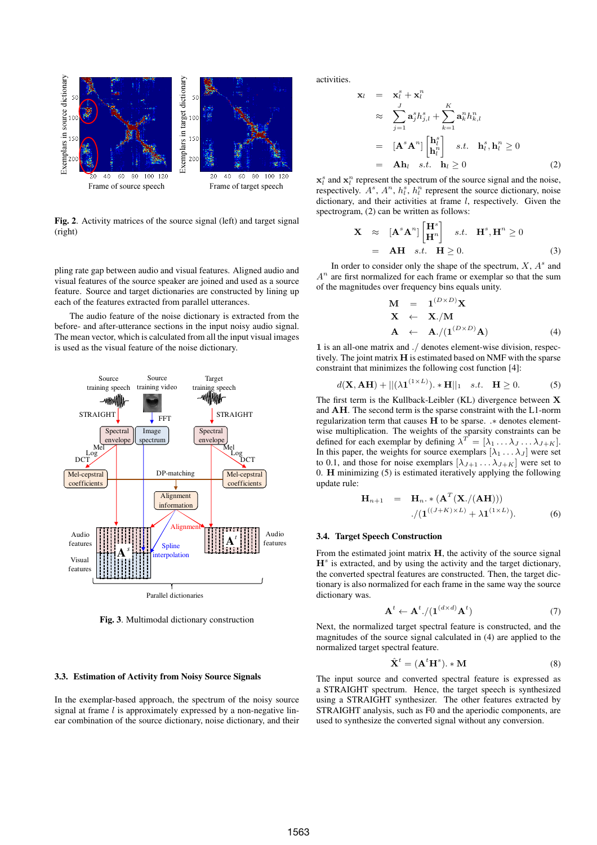

Fig. 2. Activity matrices of the source signal (left) and target signal (right)

pling rate gap between audio and visual features. Aligned audio and visual features of the source speaker are joined and used as a source feature. Source and target dictionaries are constructed by lining up each of the features extracted from parallel utterances.

The audio feature of the noise dictionary is extracted from the before- and after-utterance sections in the input noisy audio signal. The mean vector, which is calculated from all the input visual images is used as the visual feature of the noise dictionary.



Fig. 3. Multimodal dictionary construction

### 3.3. Estimation of Activity from Noisy Source Signals

In the exemplar-based approach, the spectrum of the noisy source signal at frame *l* is approximately expressed by a non-negative linear combination of the source dictionary, noise dictionary, and their activities.

 $\mathbf{x}_l$ 

$$
= \mathbf{x}_{l}^{s} + \mathbf{x}_{l}^{n}
$$
  
\n
$$
\approx \sum_{j=1}^{J} \mathbf{a}_{j}^{s} h_{j,l}^{s} + \sum_{k=1}^{K} \mathbf{a}_{k}^{n} h_{k,l}^{n}
$$
  
\n
$$
= [\mathbf{A}^{s} \mathbf{A}^{n}] \begin{bmatrix} \mathbf{h}_{l}^{s} \\ \mathbf{h}_{l}^{n} \end{bmatrix} \quad s.t. \quad \mathbf{h}_{l}^{s}, \mathbf{h}_{l}^{n} \ge 0
$$
  
\n
$$
= \mathbf{A} \mathbf{h}_{l} \quad s.t. \quad \mathbf{h}_{l} \ge 0
$$
 (2)

 $x_i^s$  and  $x_i^n$  represent the spectrum of the source signal and the noise, respectively.  $A^s$ ,  $A^n$ ,  $h_l^s$ ,  $h_l^n$  represent the source dictionary, noise dictionary, and their activities at frame *l*, respectively. Given the spectrogram, (2) can be written as follows:

$$
\mathbf{X} \approx [\mathbf{A}^{s} \mathbf{A}^{n}] \begin{bmatrix} \mathbf{H}^{s} \\ \mathbf{H}^{n} \end{bmatrix} \quad s.t. \quad \mathbf{H}^{s}, \mathbf{H}^{n} \ge 0
$$
  
=  $\mathbf{A}\mathbf{H} \quad s.t. \quad \mathbf{H} \ge 0.$  (3)

In order to consider only the shape of the spectrum,  $X$ ,  $A<sup>s</sup>$  and  $A<sup>n</sup>$  are first normalized for each frame or exemplar so that the sum of the magnitudes over frequency bins equals unity.

$$
\begin{array}{rcl}\n\mathbf{M} & = & \mathbf{1}^{(D \times D)} \mathbf{X} \\
\mathbf{X} & \leftarrow & \mathbf{X} . / \mathbf{M} \\
\mathbf{A} & \leftarrow & \mathbf{A} . / (\mathbf{1}^{(D \times D)} \mathbf{A})\n\end{array} \tag{4}
$$

**1** is an all-one matrix and *./* denotes element-wise division, respectively. The joint matrix **H** is estimated based on NMF with the sparse constraint that minimizes the following cost function [4]:

$$
d(\mathbf{X}, \mathbf{A}\mathbf{H}) + ||(\lambda \mathbf{1}^{(1 \times L)}) \cdot \mathbf{H}||_1 \quad s.t. \quad \mathbf{H} \ge 0. \tag{5}
$$

The first term is the Kullback-Leibler (KL) divergence between **X** and **AH**. The second term is the sparse constraint with the L1-norm regularization term that causes **H** to be sparse. *.∗* denotes elementwise multiplication. The weights of the sparsity constraints can be defined for each exemplar by defining  $\lambda^T = [\lambda_1 \dots \lambda_J \dots \lambda_{J+K}]$ . In this paper, the weights for source exemplars  $[\lambda_1 \dots \lambda_J]$  were set to 0.1, and those for noise exemplars  $[\lambda_{J+1} \dots \lambda_{J+K}]$  were set to 0. **H** minimizing (5) is estimated iteratively applying the following update rule:

$$
\mathbf{H}_{n+1} = \mathbf{H}_n \cdot * (\mathbf{A}^T (\mathbf{X}./(\mathbf{A} \mathbf{H})))
$$

$$
./(\mathbf{1}^{((J+K)\times L)} + \lambda \mathbf{1}^{(1\times L)}).
$$
(6)

#### 3.4. Target Speech Construction

From the estimated joint matrix **H**, the activity of the source signal **H***<sup>s</sup>* is extracted, and by using the activity and the target dictionary, the converted spectral features are constructed. Then, the target dictionary is also normalized for each frame in the same way the source dictionary was.

$$
\mathbf{A}^t \leftarrow \mathbf{A}^t. / (\mathbf{1}^{(d \times d)} \mathbf{A}^t)
$$
 (7)

Next, the normalized target spectral feature is constructed, and the magnitudes of the source signal calculated in (4) are applied to the normalized target spectral feature.

$$
\hat{\mathbf{X}}^t = (\mathbf{A}^t \mathbf{H}^s) \cdot \mathbf{M} \tag{8}
$$

The input source and converted spectral feature is expressed as a STRAIGHT spectrum. Hence, the target speech is synthesized using a STRAIGHT synthesizer. The other features extracted by STRAIGHT analysis, such as F0 and the aperiodic components, are used to synthesize the converted signal without any conversion.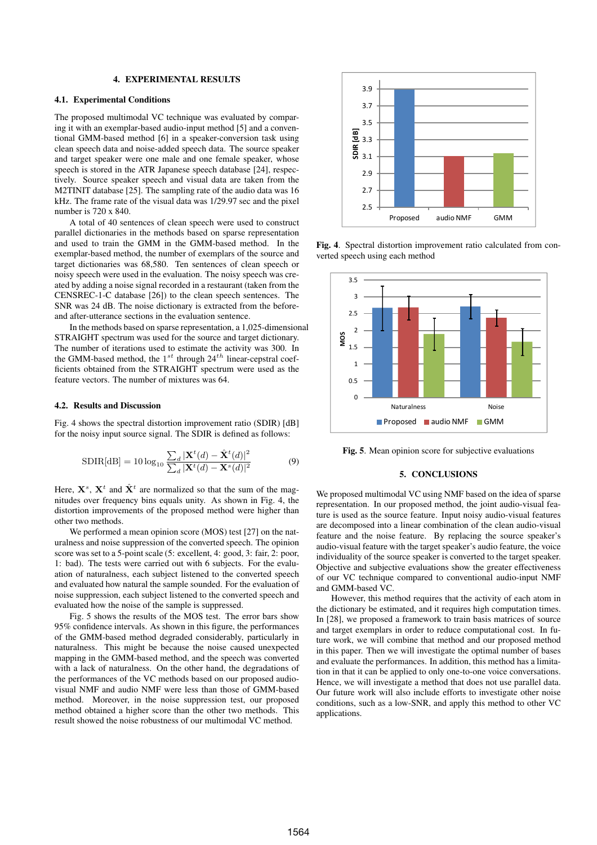### 4. EXPERIMENTAL RESULTS

#### 4.1. Experimental Conditions

The proposed multimodal VC technique was evaluated by comparing it with an exemplar-based audio-input method [5] and a conventional GMM-based method [6] in a speaker-conversion task using clean speech data and noise-added speech data. The source speaker and target speaker were one male and one female speaker, whose speech is stored in the ATR Japanese speech database [24], respectively. Source speaker speech and visual data are taken from the M2TINIT database [25]. The sampling rate of the audio data was 16 kHz. The frame rate of the visual data was 1/29.97 sec and the pixel number is 720 x 840.

A total of 40 sentences of clean speech were used to construct parallel dictionaries in the methods based on sparse representation and used to train the GMM in the GMM-based method. In the exemplar-based method, the number of exemplars of the source and target dictionaries was 68,580. Ten sentences of clean speech or noisy speech were used in the evaluation. The noisy speech was created by adding a noise signal recorded in a restaurant (taken from the CENSREC-1-C database [26]) to the clean speech sentences. The SNR was 24 dB. The noise dictionary is extracted from the beforeand after-utterance sections in the evaluation sentence.

In the methods based on sparse representation, a 1,025-dimensional STRAIGHT spectrum was used for the source and target dictionary. The number of iterations used to estimate the activity was 300. In the GMM-based method, the 1 *st* through 24*th* linear-cepstral coefficients obtained from the STRAIGHT spectrum were used as the feature vectors. The number of mixtures was 64.

### 4.2. Results and Discussion

Fig. 4 shows the spectral distortion improvement ratio (SDIR) [dB] for the noisy input source signal. The SDIR is defined as follows:

$$
\text{SDIR[dB]} = 10 \log_{10} \frac{\sum_{d} |\mathbf{X}^{t}(d) - \hat{\mathbf{X}}^{t}(d)|^{2}}{\sum_{d} |\mathbf{X}^{t}(d) - \mathbf{X}^{s}(d)|^{2}}
$$
(9)

Here,  $\mathbf{X}^s$ ,  $\mathbf{X}^t$  and  $\hat{\mathbf{X}}^t$  are normalized so that the sum of the magnitudes over frequency bins equals unity. As shown in Fig. 4, the distortion improvements of the proposed method were higher than other two methods.

We performed a mean opinion score (MOS) test [27] on the naturalness and noise suppression of the converted speech. The opinion score was set to a 5-point scale (5: excellent, 4: good, 3: fair, 2: poor, 1: bad). The tests were carried out with 6 subjects. For the evaluation of naturalness, each subject listened to the converted speech and evaluated how natural the sample sounded. For the evaluation of noise suppression, each subject listened to the converted speech and evaluated how the noise of the sample is suppressed.

Fig. 5 shows the results of the MOS test. The error bars show 95% confidence intervals. As shown in this figure, the performances of the GMM-based method degraded considerably, particularly in naturalness. This might be because the noise caused unexpected mapping in the GMM-based method, and the speech was converted with a lack of naturalness. On the other hand, the degradations of the performances of the VC methods based on our proposed audiovisual NMF and audio NMF were less than those of GMM-based method. Moreover, in the noise suppression test, our proposed method obtained a higher score than the other two methods. This result showed the noise robustness of our multimodal VC method.



Fig. 4. Spectral distortion improvement ratio calculated from converted speech using each method



Fig. 5. Mean opinion score for subjective evaluations

## 5. CONCLUSIONS

We proposed multimodal VC using NMF based on the idea of sparse representation. In our proposed method, the joint audio-visual feature is used as the source feature. Input noisy audio-visual features are decomposed into a linear combination of the clean audio-visual feature and the noise feature. By replacing the source speaker's audio-visual feature with the target speaker's audio feature, the voice individuality of the source speaker is converted to the target speaker. Objective and subjective evaluations show the greater effectiveness of our VC technique compared to conventional audio-input NMF and GMM-based VC.

However, this method requires that the activity of each atom in the dictionary be estimated, and it requires high computation times. In [28], we proposed a framework to train basis matrices of source and target exemplars in order to reduce computational cost. In future work, we will combine that method and our proposed method in this paper. Then we will investigate the optimal number of bases and evaluate the performances. In addition, this method has a limitation in that it can be applied to only one-to-one voice conversations. Hence, we will investigate a method that does not use parallel data. Our future work will also include efforts to investigate other noise conditions, such as a low-SNR, and apply this method to other VC applications.